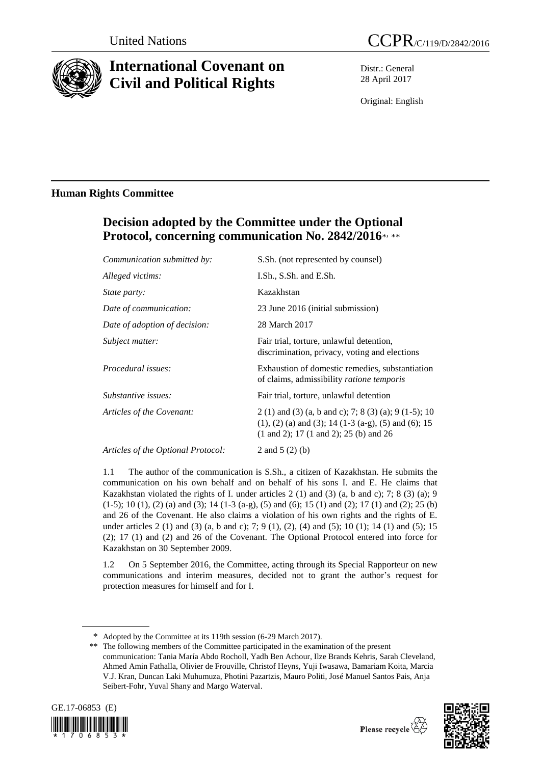

# **International Covenant on Civil and Political Rights**

Distr.: General 28 April 2017

Original: English

### **Human Rights Committee**

## **Decision adopted by the Committee under the Optional**  Protocol, concerning communication No. 2842/2016\*, \*\*

| Communication submitted by:        | S.Sh. (not represented by counsel)                                                                                                                                                        |
|------------------------------------|-------------------------------------------------------------------------------------------------------------------------------------------------------------------------------------------|
| Alleged victims:                   | I.Sh., S.Sh. and E.Sh.                                                                                                                                                                    |
| <i>State party:</i>                | Kazakhstan                                                                                                                                                                                |
| Date of communication:             | 23 June 2016 (initial submission)                                                                                                                                                         |
| Date of adoption of decision:      | 28 March 2017                                                                                                                                                                             |
| Subject matter:                    | Fair trial, torture, unlawful detention,<br>discrimination, privacy, voting and elections                                                                                                 |
| Procedural issues:                 | Exhaustion of domestic remedies, substantiation<br>of claims, admissibility ratione temporis                                                                                              |
| Substantive issues:                | Fair trial, torture, unlawful detention                                                                                                                                                   |
| Articles of the Covenant:          | 2 (1) and (3) (a, b and c); 7; 8 (3) (a); 9 (1-5); 10<br>$(1)$ , $(2)$ (a) and $(3)$ ; 14 (1-3 (a-g), (5) and (6); 15<br>$(1 \text{ and } 2)$ ; 17 $(1 \text{ and } 2)$ ; 25 $(b)$ and 26 |
| Articles of the Optional Protocol: | 2 and $5(2)(b)$                                                                                                                                                                           |
|                                    |                                                                                                                                                                                           |

1.1 The author of the communication is S.Sh., a citizen of Kazakhstan. He submits the communication on his own behalf and on behalf of his sons I. and E. He claims that Kazakhstan violated the rights of I. under articles 2 (1) and (3) (a, b and c); 7; 8 (3) (a); 9 (1-5); 10 (1), (2) (a) and (3); 14 (1-3 (a-g), (5) and (6); 15 (1) and (2); 17 (1) and (2); 25 (b) and 26 of the Covenant. He also claims a violation of his own rights and the rights of E. under articles 2 (1) and (3) (a, b and c); 7; 9 (1), (2), (4) and (5); 10 (1); 14 (1) and (5); 15 (2); 17 (1) and (2) and 26 of the Covenant. The Optional Protocol entered into force for Kazakhstan on 30 September 2009.

1.2 On 5 September 2016, the Committee, acting through its Special Rapporteur on new communications and interim measures, decided not to grant the author's request for protection measures for himself and for I.

<sup>\*\*</sup> The following members of the Committee participated in the examination of the present communication: Tania María Abdo Rocholl, Yadh Ben Achour, Ilze Brands Kehris, Sarah Cleveland, Ahmed Amin Fathalla, Olivier de Frouville, Christof Heyns, Yuji Iwasawa, Bamariam Koita, Marcia V.J. Kran, Duncan Laki Muhumuza, Photini Pazartzis, Mauro Politi, José Manuel Santos Pais, Anja Seibert-Fohr, Yuval Shany and Margo Waterval.







Adopted by the Committee at its 119th session (6-29 March 2017).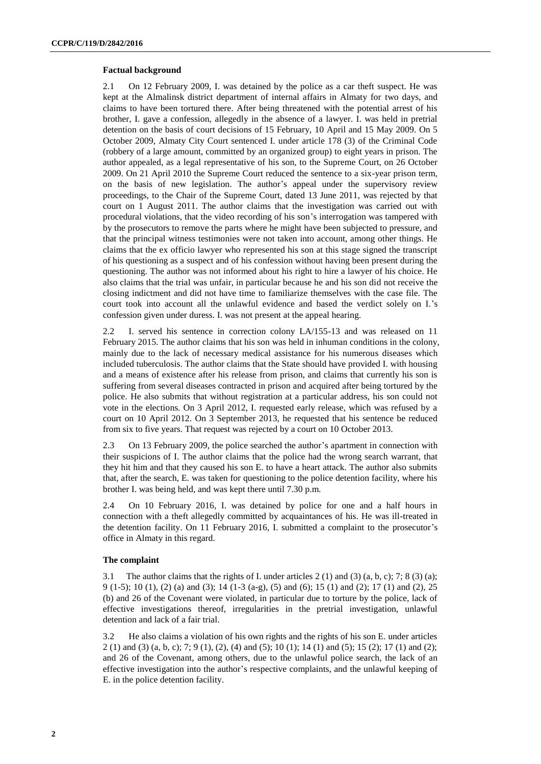#### **Factual background**

2.1 On 12 February 2009, I. was detained by the police as a car theft suspect. He was kept at the Almalinsk district department of internal affairs in Almaty for two days, and claims to have been tortured there. After being threatened with the potential arrest of his brother, I. gave a confession, allegedly in the absence of a lawyer. I. was held in pretrial detention on the basis of court decisions of 15 February, 10 April and 15 May 2009. On 5 October 2009, Almaty City Court sentenced I. under article 178 (3) of the Criminal Code (robbery of a large amount, committed by an organized group) to eight years in prison. The author appealed, as a legal representative of his son, to the Supreme Court, on 26 October 2009. On 21 April 2010 the Supreme Court reduced the sentence to a six-year prison term, on the basis of new legislation. The author's appeal under the supervisory review proceedings, to the Chair of the Supreme Court, dated 13 June 2011, was rejected by that court on 1 August 2011. The author claims that the investigation was carried out with procedural violations, that the video recording of his son's interrogation was tampered with by the prosecutors to remove the parts where he might have been subjected to pressure, and that the principal witness testimonies were not taken into account, among other things. He claims that the ex officio lawyer who represented his son at this stage signed the transcript of his questioning as a suspect and of his confession without having been present during the questioning. The author was not informed about his right to hire a lawyer of his choice. He also claims that the trial was unfair, in particular because he and his son did not receive the closing indictment and did not have time to familiarize themselves with the case file. The court took into account all the unlawful evidence and based the verdict solely on I.'s confession given under duress. I. was not present at the appeal hearing.

2.2 I. served his sentence in correction colony LA/155-13 and was released on 11 February 2015. The author claims that his son was held in inhuman conditions in the colony, mainly due to the lack of necessary medical assistance for his numerous diseases which included tuberculosis. The author claims that the State should have provided I. with housing and a means of existence after his release from prison, and claims that currently his son is suffering from several diseases contracted in prison and acquired after being tortured by the police. He also submits that without registration at a particular address, his son could not vote in the elections. On 3 April 2012, I. requested early release, which was refused by a court on 10 April 2012. On 3 September 2013, he requested that his sentence be reduced from six to five years. That request was rejected by a court on 10 October 2013.

2.3 On 13 February 2009, the police searched the author's apartment in connection with their suspicions of I. The author claims that the police had the wrong search warrant, that they hit him and that they caused his son E. to have a heart attack. The author also submits that, after the search, E. was taken for questioning to the police detention facility, where his brother I. was being held, and was kept there until 7.30 p.m.

2.4 On 10 February 2016, I. was detained by police for one and a half hours in connection with a theft allegedly committed by acquaintances of his. He was ill-treated in the detention facility. On 11 February 2016, I. submitted a complaint to the prosecutor's office in Almaty in this regard.

#### **The complaint**

3.1 The author claims that the rights of I. under articles  $2(1)$  and  $(3)$   $(a, b, c)$ ; 7; 8  $(3)$   $(a)$ ; 9 (1-5); 10 (1), (2) (a) and (3); 14 (1-3 (a-g), (5) and (6); 15 (1) and (2); 17 (1) and (2), 25 (b) and 26 of the Covenant were violated, in particular due to torture by the police, lack of effective investigations thereof, irregularities in the pretrial investigation, unlawful detention and lack of a fair trial.

3.2 He also claims a violation of his own rights and the rights of his son E. under articles 2 (1) and (3) (a, b, c); 7; 9 (1), (2), (4) and (5); 10 (1); 14 (1) and (5); 15 (2); 17 (1) and (2); and 26 of the Covenant, among others, due to the unlawful police search, the lack of an effective investigation into the author's respective complaints, and the unlawful keeping of E. in the police detention facility.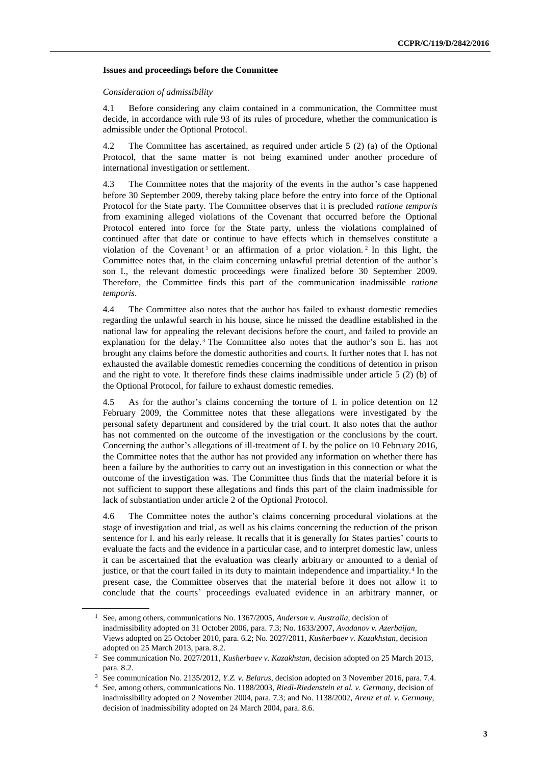#### **Issues and proceedings before the Committee**

#### *Consideration of admissibility*

4.1 Before considering any claim contained in a communication, the Committee must decide, in accordance with rule 93 of its rules of procedure, whether the communication is admissible under the Optional Protocol.

4.2 The Committee has ascertained, as required under article 5 (2) (a) of the Optional Protocol, that the same matter is not being examined under another procedure of international investigation or settlement.

4.3 The Committee notes that the majority of the events in the author's case happened before 30 September 2009, thereby taking place before the entry into force of the Optional Protocol for the State party. The Committee observes that it is precluded *ratione temporis* from examining alleged violations of the Covenant that occurred before the Optional Protocol entered into force for the State party, unless the violations complained of continued after that date or continue to have effects which in themselves constitute a violation of the Covenant<sup>1</sup> or an affirmation of a prior violation.<sup>2</sup> In this light, the Committee notes that, in the claim concerning unlawful pretrial detention of the author's son I., the relevant domestic proceedings were finalized before 30 September 2009. Therefore, the Committee finds this part of the communication inadmissible *ratione temporis*.

4.4 The Committee also notes that the author has failed to exhaust domestic remedies regarding the unlawful search in his house, since he missed the deadline established in the national law for appealing the relevant decisions before the court, and failed to provide an explanation for the delay.<sup>3</sup> The Committee also notes that the author's son E. has not brought any claims before the domestic authorities and courts. It further notes that I. has not exhausted the available domestic remedies concerning the conditions of detention in prison and the right to vote. It therefore finds these claims inadmissible under article 5 (2) (b) of the Optional Protocol, for failure to exhaust domestic remedies.

4.5 As for the author's claims concerning the torture of I. in police detention on 12 February 2009, the Committee notes that these allegations were investigated by the personal safety department and considered by the trial court. It also notes that the author has not commented on the outcome of the investigation or the conclusions by the court. Concerning the author's allegations of ill-treatment of I. by the police on 10 February 2016, the Committee notes that the author has not provided any information on whether there has been a failure by the authorities to carry out an investigation in this connection or what the outcome of the investigation was. The Committee thus finds that the material before it is not sufficient to support these allegations and finds this part of the claim inadmissible for lack of substantiation under article 2 of the Optional Protocol.

4.6 The Committee notes the author's claims concerning procedural violations at the stage of investigation and trial, as well as his claims concerning the reduction of the prison sentence for I. and his early release. It recalls that it is generally for States parties' courts to evaluate the facts and the evidence in a particular case, and to interpret domestic law, unless it can be ascertained that the evaluation was clearly arbitrary or amounted to a denial of justice, or that the court failed in its duty to maintain independence and impartiality.<sup>4</sup> In the present case, the Committee observes that the material before it does not allow it to conclude that the courts' proceedings evaluated evidence in an arbitrary manner, or

<sup>1</sup> See, among others, communications No. 1367/2005, *Anderson v. Australia*, decision of inadmissibility adopted on 31 October 2006, para. 7.3; No. 1633/2007, *Avadanov v. Azerbaijan*, Views adopted on 25 October 2010, para. 6.2; No. 2027/2011, *Kusherbaev v. Kazakhstan*, decision adopted on 25 March 2013, para. 8.2.

<sup>2</sup> See communication No. 2027/2011, *Kusherbaev v. Kazakhstan,* decision adopted on 25 March 2013, para. 8.2.

<sup>3</sup> See communication No. 2135/2012, *Y.Z. v. Belarus*, decision adopted on 3 November 2016, para. 7.4.

<sup>4</sup> See, among others, communications No. 1188/2003, *Riedl-Riedenstein et al. v. Germany*, decision of inadmissibility adopted on 2 November 2004, para. 7.3; and No. 1138/2002, *Arenz et al. v. Germany*, decision of inadmissibility adopted on 24 March 2004, para. 8.6.